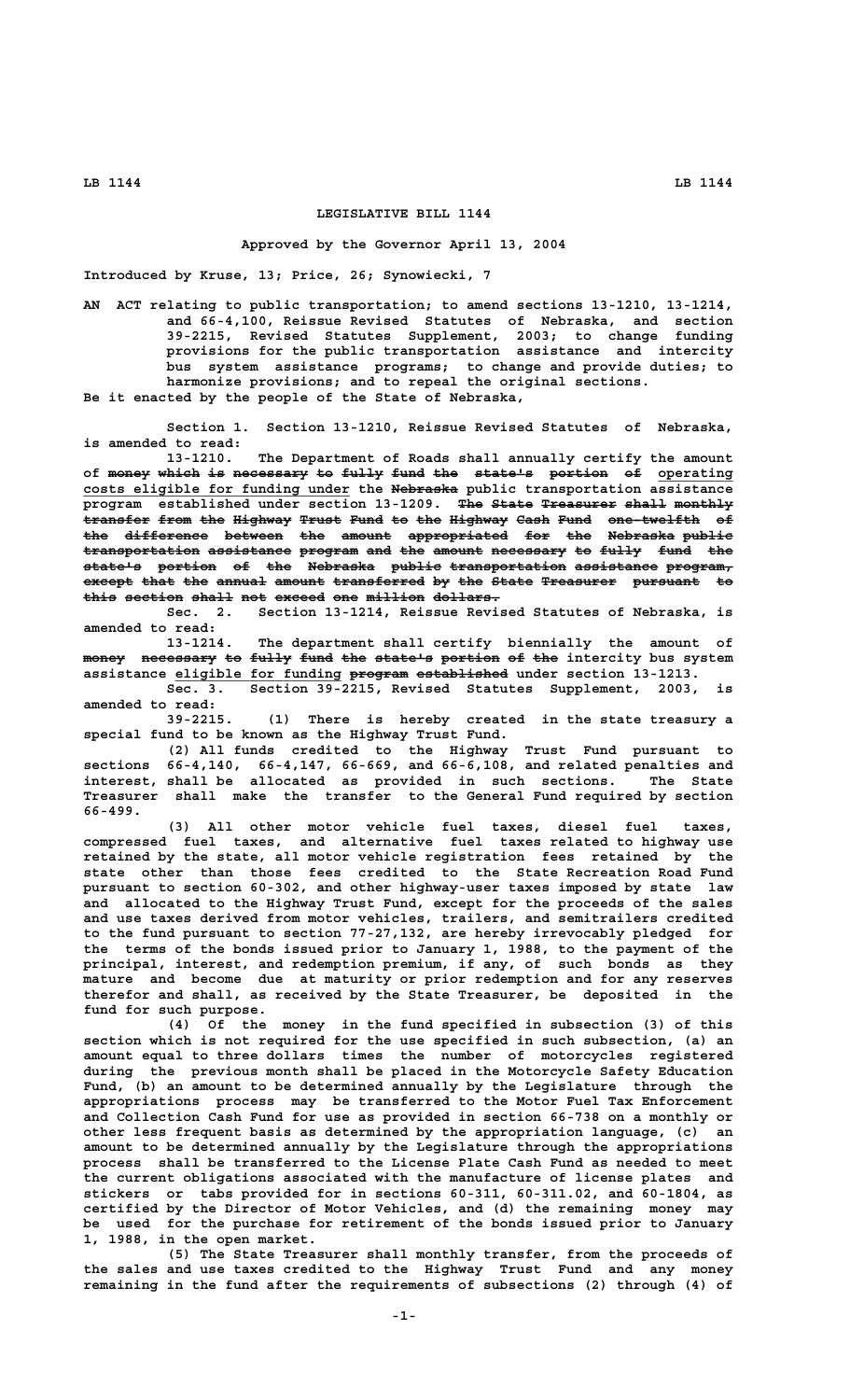## **LEGISLATIVE BILL 1144**

## **Approved by the Governor April 13, 2004**

**Introduced by Kruse, 13; Price, 26; Synowiecki, 7**

**AN ACT relating to public transportation; to amend sections 13-1210, 13-1214, and 66-4,100, Reissue Revised Statutes of Nebraska, and section 39-2215, Revised Statutes Supplement, 2003; to change funding provisions for the public transportation assistance and intercity bus system assistance programs; to change and provide duties; to harmonize provisions; and to repeal the original sections. Be it enacted by the people of the State of Nebraska,**

**Section 1. Section 13-1210, Reissue Revised Statutes of Nebraska, is amended to read:**

**13-1210. The Department of Roads shall annually certify the amount** of <del>money which is necessary to fully fund the state's portion of</del> operating  **\_\_\_\_\_\_\_\_\_\_\_\_\_\_\_\_\_\_\_\_\_\_\_\_\_\_\_\_\_\_\_\_ ———————— costs eligible for funding under the Nebraska public transportation assistance program established under section 13-1209. The State Treasurer shall monthly ——— ————— ————————— ————— —————— transfer from the Highway Trust Fund to the Highway Cash Fund one-twelfth of ———————— ———— ——— ——————— ————— ———— —— ——— ——————— ———— ———— ——————————— —** the difference between the amount appropriated for the Nebraska public transportation assistance program and the amount necessary to fully fund the **state's portion of the Nebraska public transportation assistance program, ——————— ——————— —— ——— ———————— —————— —————————————— —————————— ———————** except that the annual amount transferred by the State Treasurer pursuant to this section shall not exceed one million dollars.

**Sec. 2. Section 13-1214, Reissue Revised Statutes of Nebraska, is amended to read:**

**13-1214. The department shall certify biennially the amount of** money necessary to fully fund the state's portion of the intercity bus system assistance eligible for funding program established under section 13-1213. **Sec. 3. Section 39-2215, Revised Statutes Supplement, 2003, is**

**amended to read:**

**39-2215. (1) There is hereby created in the state treasury a special fund to be known as the Highway Trust Fund.**

**(2) All funds credited to the Highway Trust Fund pursuant to sections 66-4,140, 66-4,147, 66-669, and 66-6,108, and related penalties and interest, shall be allocated as provided in such sections. The State Treasurer shall make the transfer to the General Fund required by section 66-499.**

**(3) All other motor vehicle fuel taxes, diesel fuel taxes, compressed fuel taxes, and alternative fuel taxes related to highway use retained by the state, all motor vehicle registration fees retained by the state other than those fees credited to the State Recreation Road Fund pursuant to section 60-302, and other highway-user taxes imposed by state law and allocated to the Highway Trust Fund, except for the proceeds of the sales and use taxes derived from motor vehicles, trailers, and semitrailers credited to the fund pursuant to section 77-27,132, are hereby irrevocably pledged for the terms of the bonds issued prior to January 1, 1988, to the payment of the principal, interest, and redemption premium, if any, of such bonds as they mature and become due at maturity or prior redemption and for any reserves therefor and shall, as received by the State Treasurer, be deposited in the fund for such purpose.**

**(4) Of the money in the fund specified in subsection (3) of this section which is not required for the use specified in such subsection, (a) an amount equal to three dollars times the number of motorcycles registered during the previous month shall be placed in the Motorcycle Safety Education Fund, (b) an amount to be determined annually by the Legislature through the appropriations process may be transferred to the Motor Fuel Tax Enforcement and Collection Cash Fund for use as provided in section 66-738 on a monthly or other less frequent basis as determined by the appropriation language, (c) an amount to be determined annually by the Legislature through the appropriations process shall be transferred to the License Plate Cash Fund as needed to meet the current obligations associated with the manufacture of license plates and stickers or tabs provided for in sections 60-311, 60-311.02, and 60-1804, as certified by the Director of Motor Vehicles, and (d) the remaining money may be used for the purchase for retirement of the bonds issued prior to January 1, 1988, in the open market.**

**(5) The State Treasurer shall monthly transfer, from the proceeds of the sales and use taxes credited to the Highway Trust Fund and any money remaining in the fund after the requirements of subsections (2) through (4) of**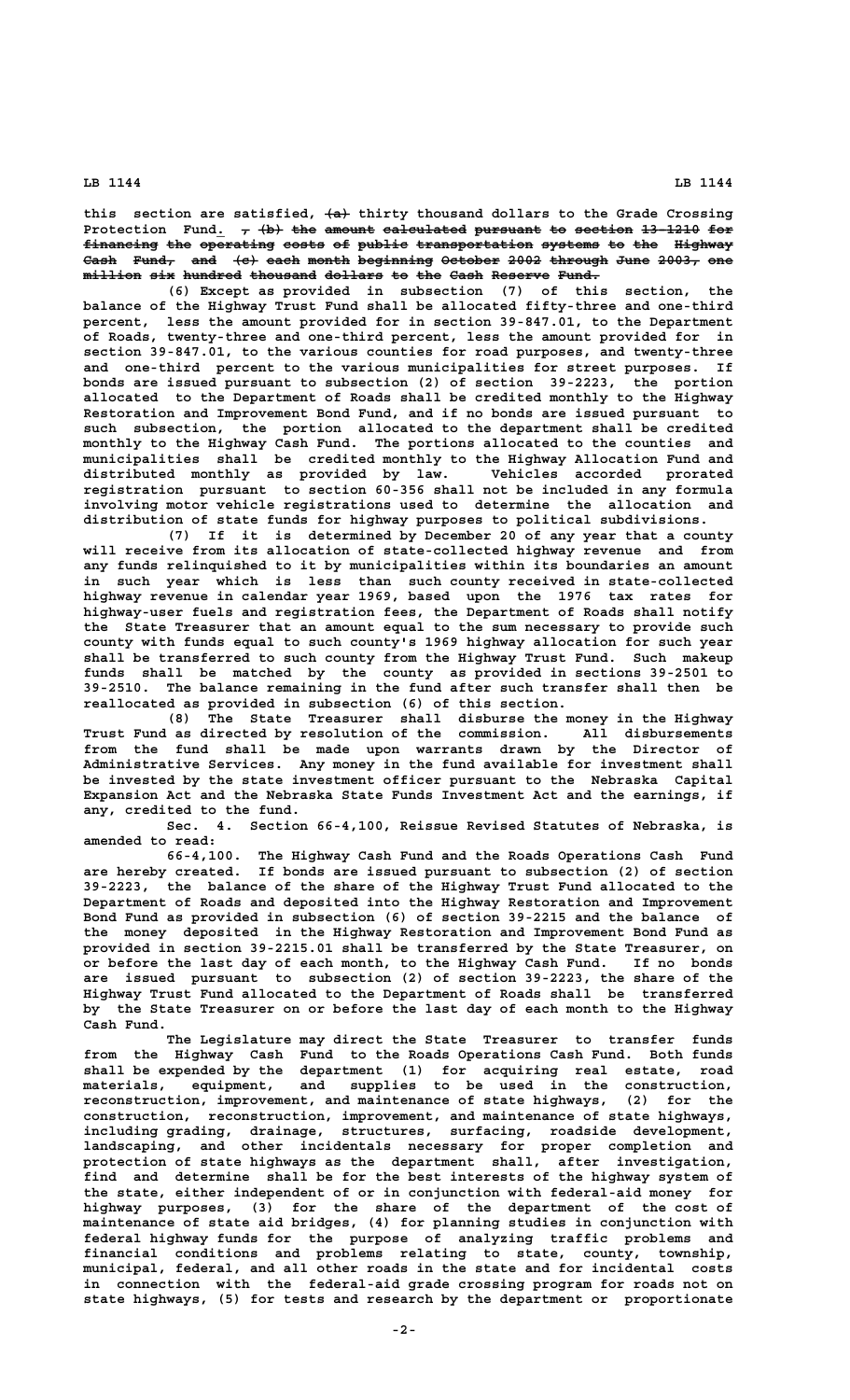**LB 1144 LB 1144**

this section are satisfied,  $\left\{\text{a}\right\}$  thirty thousand dollars to the Grade Crossing Protection Fund.  $\tau$  (b) the amount calculated pursuant to section 13-1210 for financing the operating costs of public transportation systems to the Highway Cash Fund, and (e) each month beginning October 2002 through June 2003, one  $m$ illion six hundred thousand dollars to the Cash Reserve Fund.

**(6) Except as provided in subsection (7) of this section, the balance of the Highway Trust Fund shall be allocated fifty-three and one-third percent, less the amount provided for in section 39-847.01, to the Department of Roads, twenty-three and one-third percent, less the amount provided for in section 39-847.01, to the various counties for road purposes, and twenty-three and one-third percent to the various municipalities for street purposes. If bonds are issued pursuant to subsection (2) of section 39-2223, the portion allocated to the Department of Roads shall be credited monthly to the Highway Restoration and Improvement Bond Fund, and if no bonds are issued pursuant to such subsection, the portion allocated to the department shall be credited monthly to the Highway Cash Fund. The portions allocated to the counties and municipalities shall be credited monthly to the Highway Allocation Fund and distributed monthly as provided by law. Vehicles accorded prorated registration pursuant to section 60-356 shall not be included in any formula involving motor vehicle registrations used to determine the allocation and distribution of state funds for highway purposes to political subdivisions.**

**(7) If it is determined by December 20 of any year that a county will receive from its allocation of state-collected highway revenue and from any funds relinquished to it by municipalities within its boundaries an amount in such year which is less than such county received in state-collected highway revenue in calendar year 1969, based upon the 1976 tax rates for highway-user fuels and registration fees, the Department of Roads shall notify the State Treasurer that an amount equal to the sum necessary to provide such county with funds equal to such county's 1969 highway allocation for such year shall be transferred to such county from the Highway Trust Fund. Such makeup funds shall be matched by the county as provided in sections 39-2501 to 39-2510. The balance remaining in the fund after such transfer shall then be reallocated as provided in subsection (6) of this section.**

**(8) The State Treasurer shall disburse the money in the Highway Trust Fund as directed by resolution of the commission. All disbursements from the fund shall be made upon warrants drawn by the Director of Administrative Services. Any money in the fund available for investment shall be invested by the state investment officer pursuant to the Nebraska Capital Expansion Act and the Nebraska State Funds Investment Act and the earnings, if any, credited to the fund.**

**Sec. 4. Section 66-4,100, Reissue Revised Statutes of Nebraska, is amended to read:**

**66-4,100. The Highway Cash Fund and the Roads Operations Cash Fund are hereby created. If bonds are issued pursuant to subsection (2) of section 39-2223, the balance of the share of the Highway Trust Fund allocated to the Department of Roads and deposited into the Highway Restoration and Improvement Bond Fund as provided in subsection (6) of section 39-2215 and the balance of the money deposited in the Highway Restoration and Improvement Bond Fund as provided in section 39-2215.01 shall be transferred by the State Treasurer, on or before the last day of each month, to the Highway Cash Fund. If no bonds are issued pursuant to subsection (2) of section 39-2223, the share of the Highway Trust Fund allocated to the Department of Roads shall be transferred by the State Treasurer on or before the last day of each month to the Highway Cash Fund.**

**The Legislature may direct the State Treasurer to transfer funds from the Highway Cash Fund to the Roads Operations Cash Fund. Both funds shall be expended by the department (1) for acquiring real estate, road materials, equipment, and supplies to be used in the construction, reconstruction, improvement, and maintenance of state highways, (2) for the construction, reconstruction, improvement, and maintenance of state highways, including grading, drainage, structures, surfacing, roadside development, landscaping, and other incidentals necessary for proper completion and protection of state highways as the department shall, after investigation, find and determine shall be for the best interests of the highway system of the state, either independent of or in conjunction with federal-aid money for highway purposes, (3) for the share of the department of the cost of maintenance of state aid bridges, (4) for planning studies in conjunction with federal highway funds for the purpose of analyzing traffic problems and financial conditions and problems relating to state, county, township, municipal, federal, and all other roads in the state and for incidental costs in connection with the federal-aid grade crossing program for roads not on state highways, (5) for tests and research by the department or proportionate**